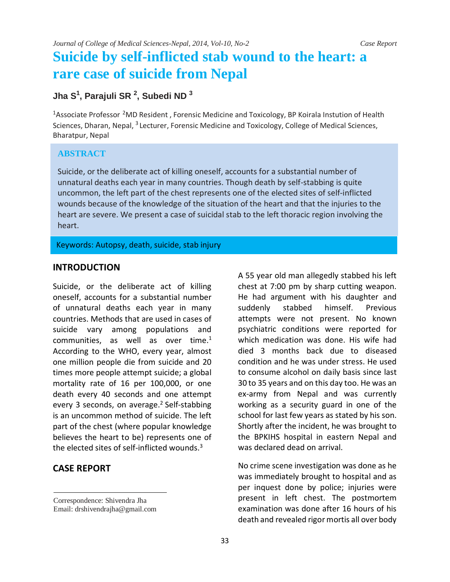# **Suicide by self-inflicted stab wound to the heart: a rare case of suicide from Nepal**

# **Jha S1 , Parajuli SR <sup>2</sup> , Subedi ND <sup>3</sup>**

<sup>1</sup>Associate Professor <sup>2</sup>MD Resident, Forensic Medicine and Toxicology, BP Koirala Instution of Health Sciences, Dharan, Nepal, <sup>3</sup> Lecturer, Forensic Medicine and Toxicology, College of Medical Sciences, Bharatpur, Nepal

### **ABSTRACT**

Suicide, or the deliberate act of killing oneself, accounts for a substantial number of unnatural deaths each year in many countries. Though death by self-stabbing is quite uncommon, the left part of the chest represents one of the elected sites of self-inflicted wounds because of the knowledge of the situation of the heart and that the injuries to the heart are severe. We present a case of suicidal stab to the left thoracic region involving the heart.

Keywords: Autopsy, death, suicide, stab injury

### **INTRODUCTION**

Suicide, or the deliberate act of killing oneself, accounts for a substantial number of unnatural deaths each year in many countries. Methods that are used in cases of suicide vary among populations and communities, as well as over time. $1$ According to the WHO, every year, almost one million people die from suicide and 20 times more people attempt suicide; a global mortality rate of 16 per 100,000, or one death every 40 seconds and one attempt every 3 seconds, on average.<sup>2</sup> Self-stabbing is an uncommon method of suicide. The left part of the chest (where popular knowledge believes the heart to be) represents one of the elected sites of self-inflicted wounds. $3$ 

## **CASE REPORT**

A 55 year old man allegedly stabbed his left chest at 7:00 pm by sharp cutting weapon. He had argument with his daughter and suddenly stabbed himself. Previous attempts were not present. No known psychiatric conditions were reported for which medication was done. His wife had died 3 months back due to diseased condition and he was under stress. He used to consume alcohol on daily basis since last 30 to 35 years and on this day too. He was an ex-army from Nepal and was currently working as a security guard in one of the school for last few years as stated by his son. Shortly after the incident, he was brought to the BPKIHS hospital in eastern Nepal and was declared dead on arrival.

No crime scene investigation was done as he was immediately brought to hospital and as per inquest done by police; injuries were present in left chest. The postmortem examination was done after 16 hours of his death and revealed rigor mortis all over body

Correspondence: Shivendra Jha

Email: drshivendrajha@gmail.com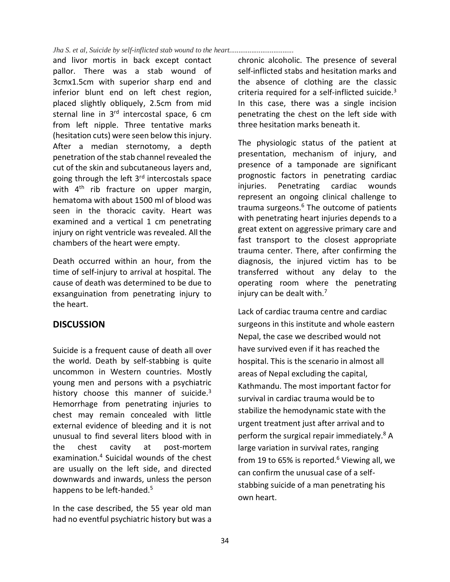#### *Jha S. et al, Suicide by self-inflicted stab wound to the heart...................................*

and livor mortis in back except contact pallor. There was a stab wound of 3cmx1.5cm with superior sharp end and inferior blunt end on left chest region, placed slightly obliquely, 2.5cm from mid sternal line in 3<sup>rd</sup> intercostal space, 6 cm from left nipple. Three tentative marks (hesitation cuts) were seen below this injury. After a median sternotomy, a depth penetration of the stab channel revealed the cut of the skin and subcutaneous layers and, going through the left 3<sup>rd</sup> intercostals space with  $4<sup>th</sup>$  rib fracture on upper margin, hematoma with about 1500 ml of blood was seen in the thoracic cavity. Heart was examined and a vertical 1 cm penetrating injury on right ventricle was revealed. All the chambers of the heart were empty.

Death occurred within an hour, from the time of self-injury to arrival at hospital. The cause of death was determined to be due to exsanguination from penetrating injury to the heart.

# **DISCUSSION**

Suicide is a frequent cause of death all over the world. Death by self-stabbing is quite uncommon in Western countries. Mostly young men and persons with a psychiatric history choose this manner of suicide. $3$ Hemorrhage from penetrating injuries to chest may remain concealed with little external evidence of bleeding and it is not unusual to find several liters blood with in the chest cavity at post-mortem examination.4 Suicidal wounds of the chest are usually on the left side, and directed downwards and inwards, unless the person happens to be left-handed.<sup>5</sup>

In the case described, the 55 year old man had no eventful psychiatric history but was a

chronic alcoholic. The presence of several self-inflicted stabs and hesitation marks and the absence of clothing are the classic criteria required for a self-inflicted suicide. $3$ In this case, there was a single incision penetrating the chest on the left side with three hesitation marks beneath it.

The physiologic status of the patient at presentation, mechanism of injury, and presence of a tamponade are significant prognostic factors in penetrating cardiac injuries. Penetrating cardiac wounds represent an ongoing clinical challenge to trauma surgeons.<sup>6</sup> The outcome of patients with penetrating heart injuries depends to a great extent on aggressive primary care and fast transport to the closest appropriate trauma center. There, after confirming the diagnosis, the injured victim has to be transferred without any delay to the operating room where the penetrating injury can be dealt with.<sup>7</sup>

Lack of cardiac trauma centre and cardiac surgeons in this institute and whole eastern Nepal, the case we described would not have survived even if it has reached the hospital. This is the scenario in almost all areas of Nepal excluding the capital, Kathmandu. The most important factor for survival in cardiac trauma would be to stabilize the hemodynamic state with the urgent treatment just after arrival and to perform the surgical repair immediately.8 A large variation in survival rates, ranging from 19 to 65% is reported. $6$  Viewing all, we can confirm the unusual case of a selfstabbing suicide of a man penetrating his own heart.